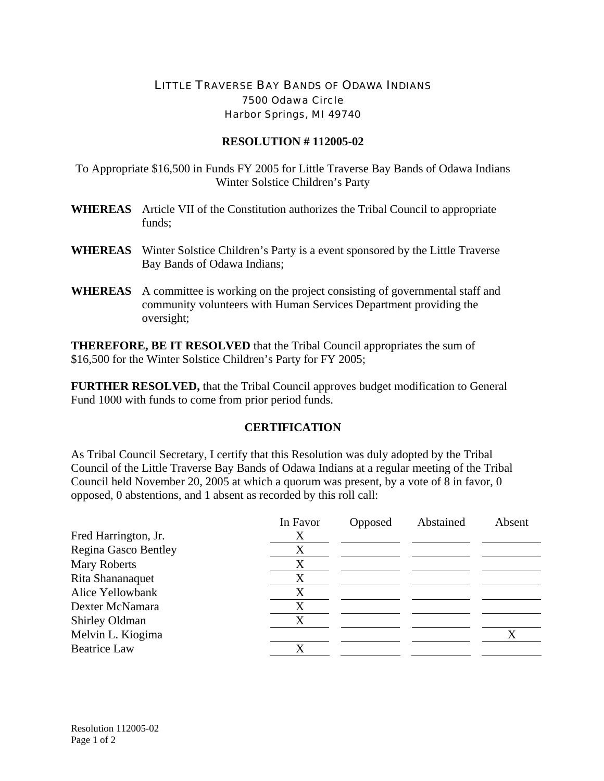## LITTLE TRAVERSE BAY BANDS OF ODAWA INDIANS 7500 Odawa Circle Harbor Springs, MI 49740

## **RESOLUTION # 112005-02**

To Appropriate \$16,500 in Funds FY 2005 for Little Traverse Bay Bands of Odawa Indians Winter Solstice Children's Party

- **WHEREAS** Article VII of the Constitution authorizes the Tribal Council to appropriate funds;
- **WHEREAS** Winter Solstice Children's Party is a event sponsored by the Little Traverse Bay Bands of Odawa Indians;
- **WHEREAS** A committee is working on the project consisting of governmental staff and community volunteers with Human Services Department providing the oversight;

**THEREFORE, BE IT RESOLVED** that the Tribal Council appropriates the sum of \$16,500 for the Winter Solstice Children's Party for FY 2005;

**FURTHER RESOLVED,** that the Tribal Council approves budget modification to General Fund 1000 with funds to come from prior period funds.

## **CERTIFICATION**

As Tribal Council Secretary, I certify that this Resolution was duly adopted by the Tribal Council of the Little Traverse Bay Bands of Odawa Indians at a regular meeting of the Tribal Council held November 20, 2005 at which a quorum was present, by a vote of 8 in favor, 0 opposed, 0 abstentions, and 1 absent as recorded by this roll call:

|                      | In Favor | Opposed | Abstained | Absent |
|----------------------|----------|---------|-----------|--------|
| Fred Harrington, Jr. | Х        |         |           |        |
| Regina Gasco Bentley | X        |         |           |        |
| Mary Roberts         | X        |         |           |        |
| Rita Shananaquet     | X        |         |           |        |
| Alice Yellowbank     | X        |         |           |        |
| Dexter McNamara      | X        |         |           |        |
| Shirley Oldman       | X        |         |           |        |
| Melvin L. Kiogima    |          |         |           |        |
| <b>Beatrice Law</b>  | X        |         |           |        |